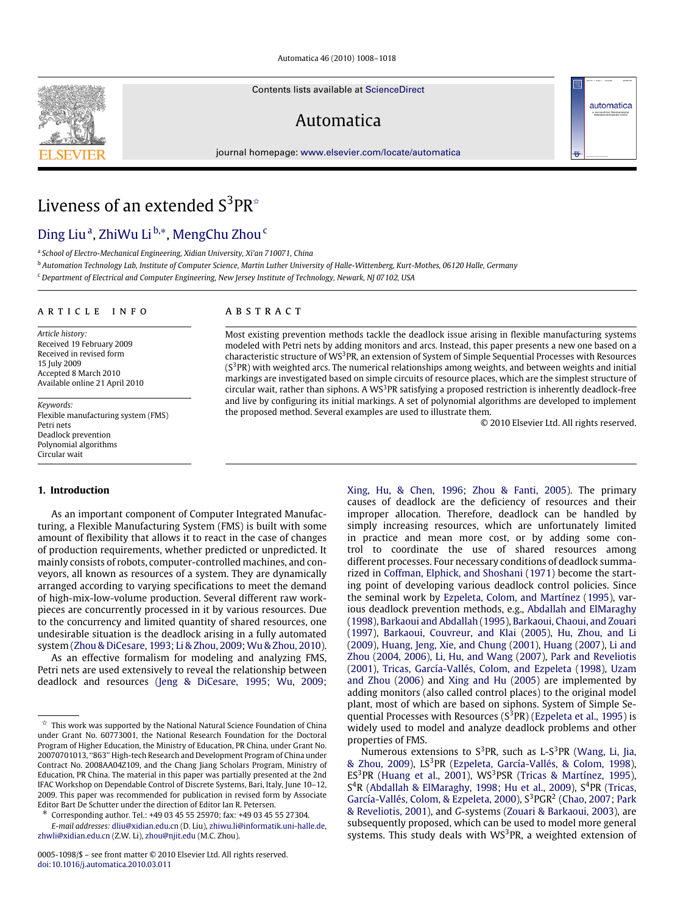Automatica 46 (2010) 1008–1018

Contents lists available at [ScienceDirect](http://www.elsevier.com/locate/automatica)

# Automatica

journal homepage: [www.elsevier.com/locate/automatica](http://www.elsevier.com/locate/automatica)



# Liveness of an extended  $S^3PR^*$

## [Ding Liu](#page--1-0)ª, [ZhiWu Li](#page--1-1) <sup>[b,](#page-0-2)</sup>\*, [MengChu Zhou](#page--1-2)<sup>[c](#page-0-4)</sup>

<span id="page-0-1"></span>a *School of Electro-Mechanical Engineering, Xidian University, Xi'an 710071, China*

<span id="page-0-2"></span><sup>b</sup> *Automation Technology Lab, Institute of Computer Science, Martin Luther University of Halle-Wittenberg, Kurt-Mothes, 06120 Halle, Germany*

<span id="page-0-4"></span><sup>c</sup> *Department of Electrical and Computer Engineering, New Jersey Institute of Technology, Newark, NJ 07102, USA*

#### a r t i c l e i n f o

*Article history:* Received 19 February 2009 Received in revised form 15 July 2009 Accepted 8 March 2010 Available online 21 April 2010

*Keywords:* Flexible manufacturing system (FMS) Petri nets Deadlock prevention Polynomial algorithms Circular wait

## A B S T R A C T

Most existing prevention methods tackle the deadlock issue arising in flexible manufacturing systems modeled with Petri nets by adding monitors and arcs. Instead, this paper presents a new one based on a characteristic structure of WS<sup>3</sup>PR, an extension of System of Simple Sequential Processes with Resources  $(S<sup>3</sup>PR)$  with weighted arcs. The numerical relationships among weights, and between weights and initial markings are investigated based on simple circuits of resource places, which are the simplest structure of circular wait, rather than siphons. A WS<sup>3</sup>PR satisfying a proposed restriction is inherently deadlock-free and live by configuring its initial markings. A set of polynomial algorithms are developed to implement the proposed method. Several examples are used to illustrate them.

© 2010 Elsevier Ltd. All rights reserved.

automatica

#### **1. Introduction**

As an important component of Computer Integrated Manufacturing, a Flexible Manufacturing System (FMS) is built with some amount of flexibility that allows it to react in the case of changes of production requirements, whether predicted or unpredicted. It mainly consists of robots, computer-controlled machines, and conveyors, all known as resources of a system. They are dynamically arranged according to varying specifications to meet the demand of high-mix-low-volume production. Several different raw workpieces are concurrently processed in it by various resources. Due to the concurrency and limited quantity of shared resources, one undesirable situation is the deadlock arising in a fully automated system [\(Zhou](#page--1-3) [&](#page--1-3) [DiCesare,](#page--1-3) [1993;](#page--1-3) [Li](#page--1-4) [&](#page--1-4) [Zhou,](#page--1-4) [2009;](#page--1-4) [Wu](#page--1-5) [&](#page--1-5) [Zhou,](#page--1-5) [2010\)](#page--1-5).

As an effective formalism for modeling and analyzing FMS, Petri nets are used extensively to reveal the relationship between deadlock and resources [\(Jeng](#page--1-6) [&](#page--1-6) [DiCesare,](#page--1-6) [1995;](#page--1-6) [Wu,](#page--1-7) [2009;](#page--1-7)

<span id="page-0-3"></span>∗ Corresponding author. Tel.: +49 03 45 55 25970; fax: +49 03 45 55 27304.

*E-mail addresses:* [dliu@xidian.edu.cn](mailto:dliu@xidian.edu.cn) (D. Liu), [zhiwu.li@informatik.uni-halle.de,](mailto:zhiwu.li@informatik.uni-halle.de) [zhwli@xidian.edu.cn](mailto:zhwli@xidian.edu.cn) (Z.W. Li), [zhou@njit.edu](mailto:zhou@njit.edu) (M.C. Zhou).

[Xing,](#page--1-8) [Hu,](#page--1-8) [&](#page--1-8) [Chen,](#page--1-8) [1996;](#page--1-8) [Zhou](#page--1-9) [&](#page--1-9) [Fanti,](#page--1-9) [2005\)](#page--1-9). The primary causes of deadlock are the deficiency of resources and their improper allocation. Therefore, deadlock can be handled by simply increasing resources, which are unfortunately limited in practice and mean more cost, or by adding some control to coordinate the use of shared resources among different processes. Four necessary conditions of deadlock summarized in [Coffman,](#page--1-10) [Elphick,](#page--1-10) [and](#page--1-10) [Shoshani](#page--1-10) [\(1971\)](#page--1-10) become the starting point of developing various deadlock control policies. Since the seminal work by [Ezpeleta,](#page--1-11) [Colom,](#page--1-11) [and](#page--1-11) [Martínez](#page--1-11) [\(1995\)](#page--1-11), various deadlock prevention methods, e.g., [Abdallah](#page--1-12) [and](#page--1-12) [ElMaraghy](#page--1-12) [\(1998\)](#page--1-12), [Barkaoui](#page--1-13) [and](#page--1-13) [Abdallah](#page--1-13) [\(1995\)](#page--1-13), [Barkaoui,](#page--1-14) [Chaoui,](#page--1-14) [and](#page--1-14) [Zouari](#page--1-14) [\(1997\)](#page--1-14), [Barkaoui,](#page--1-15) [Couvreur,](#page--1-15) [and](#page--1-15) [Klai](#page--1-15) [\(2005\)](#page--1-15), [Hu,](#page--1-16) [Zhou,](#page--1-16) [and](#page--1-16) [Li](#page--1-16) [\(2009\)](#page--1-16), [Huang,](#page--1-17) [Jeng,](#page--1-17) [Xie,](#page--1-17) [and](#page--1-17) [Chung](#page--1-17) [\(2001\)](#page--1-17), [Huang](#page--1-18) [\(2007\)](#page--1-18), [Li](#page--1-19) [and](#page--1-19) [Zhou](#page--1-19) [\(2004,](#page--1-19) [2006\),](#page--1-20) [Li,](#page--1-21) [Hu,](#page--1-21) [and](#page--1-21) [Wang](#page--1-21) [\(2007\)](#page--1-21), [Park](#page--1-22) [and](#page--1-22) [Reveliotis](#page--1-22) [\(2001\)](#page--1-22), [Tricas,](#page--1-23) [García-Vallés,](#page--1-23) [Colom,](#page--1-23) [and](#page--1-23) [Ezpeleta](#page--1-23) [\(1998\)](#page--1-23), [Uzam](#page--1-24) [and](#page--1-24) [Zhou](#page--1-24) [\(2006\)](#page--1-24) and [Xing](#page--1-25) [and](#page--1-25) [Hu](#page--1-25) [\(2005\)](#page--1-25) are implemented by adding monitors (also called control places) to the original model plant, most of which are based on siphons. System of Simple Sequential Processes with Resources  $(S^3PR)$  [\(Ezpeleta](#page--1-11) [et al.,](#page--1-11) [1995\)](#page--1-11) is widely used to model and analyze deadlock problems and other properties of FMS.

Numerous extensions to  $S^3PR$ , such as L- $S^3PR$  [\(Wang,](#page--1-26) [Li,](#page--1-26) [Jia,](#page--1-26) [&](#page--1-27) [Zhou,](#page--1-26) [2009\)](#page--1-26), LS<sup>3</sup>PR [\(Ezpeleta,](#page--1-27) [García-Vallés,](#page--1-27) & [Colom,](#page--1-27) [1998\)](#page--1-27), ES<sup>3</sup>PR [\(Huang](#page--1-17) [et al.,](#page--1-17) [2001\)](#page--1-17), WS<sup>3</sup>PSR [\(Tricas](#page--1-28) [&](#page--1-28) [Martínez,](#page--1-28) [1995\)](#page--1-28), S<sup>4</sup>R [\(Abdallah](#page--1-12) [&](#page--1-12) [ElMaraghy,](#page--1-12) [1998;](#page--1-12) [Hu](#page--1-16) [et al.,](#page--1-16) [2009\)](#page--1-16), S<sup>4</sup>PR [\(Tricas,](#page--1-29) [García-Vallés,](#page--1-29) [Colom,](#page--1-29) [&](#page--1-29) [Ezpeleta,](#page--1-29) [2000\)](#page--1-29), S<sup>3</sup>PGR<sup>2</sup> [\(Chao,](#page--1-30) [2007;](#page--1-30) [Park](#page--1-22) [&](#page--1-22) [Reveliotis,](#page--1-22) [2001\)](#page--1-22), and *G*-systems [\(Zouari](#page--1-31) [&](#page--1-31) [Barkaoui,](#page--1-31) [2003\)](#page--1-31), are subsequently proposed, which can be used to model more general systems. This study deals with  $WS^3PR$ , a weighted extension of

<span id="page-0-0"></span> $\overrightarrow{x}$  This work was supported by the National Natural Science Foundation of China under Grant No. 60773001, the National Research Foundation for the Doctoral Program of Higher Education, the Ministry of Education, PR China, under Grant No. 20070701013, ''863'' High-tech Research and Development Program of China under Contract No. 2008AA04Z109, and the Chang Jiang Scholars Program, Ministry of Education, PR China. The material in this paper was partially presented at the 2nd IFAC Workshop on Dependable Control of Discrete Systems, Bari, Italy, June 10–12, 2009. This paper was recommended for publication in revised form by Associate Editor Bart De Schutter under the direction of Editor Ian R. Petersen.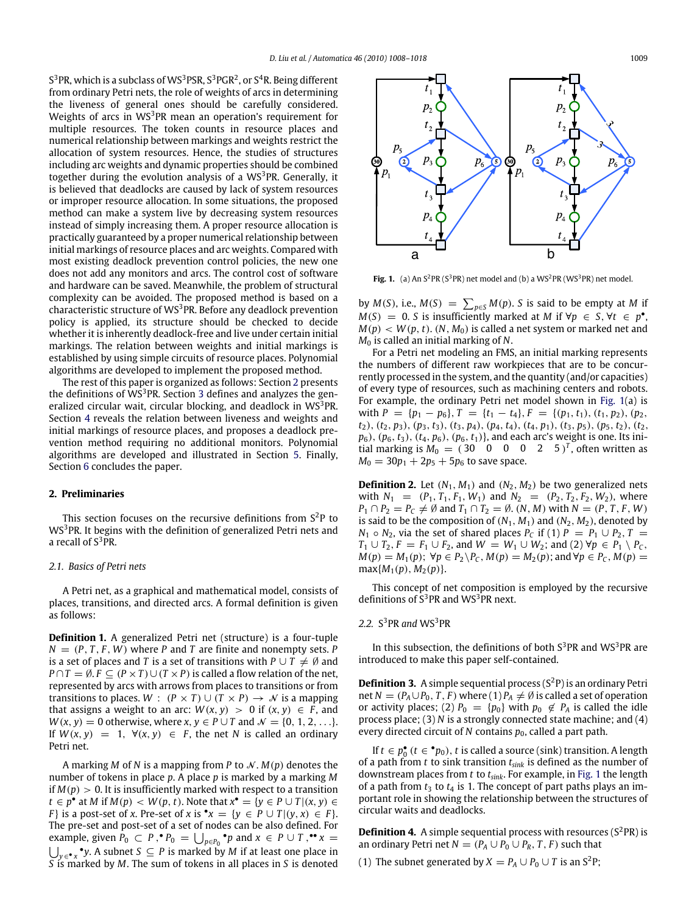S $^3$ PR, which is a subclass of WS $^3$ PSR, S $^3$ PGR $^2$ , or S $^4$ R. Being different from ordinary Petri nets, the role of weights of arcs in determining the liveness of general ones should be carefully considered. Weights of arcs in WS<sup>3</sup>PR mean an operation's requirement for multiple resources. The token counts in resource places and numerical relationship between markings and weights restrict the allocation of system resources. Hence, the studies of structures including arc weights and dynamic properties should be combined together during the evolution analysis of a  $WS<sup>3</sup>PR$ . Generally, it is believed that deadlocks are caused by lack of system resources or improper resource allocation. In some situations, the proposed method can make a system live by decreasing system resources instead of simply increasing them. A proper resource allocation is practically guaranteed by a proper numerical relationship between initial markings of resource places and arc weights. Compared with most existing deadlock prevention control policies, the new one does not add any monitors and arcs. The control cost of software and hardware can be saved. Meanwhile, the problem of structural complexity can be avoided. The proposed method is based on a characteristic structure of  $WS<sup>3</sup>PR$ . Before any deadlock prevention policy is applied, its structure should be checked to decide whether it is inherently deadlock-free and live under certain initial markings. The relation between weights and initial markings is established by using simple circuits of resource places. Polynomial algorithms are developed to implement the proposed method.

The rest of this paper is organized as follows: Section [2](#page-1-0) presents the definitions of  $WS^3$  $WS^3$ PR. Section 3 defines and analyzes the generalized circular wait, circular blocking, and deadlock in  $WS^3$ PR. Section [4](#page--1-33) reveals the relation between liveness and weights and initial markings of resource places, and proposes a deadlock prevention method requiring no additional monitors. Polynomial algorithms are developed and illustrated in Section [5.](#page--1-34) Finally, Section [6](#page--1-35) concludes the paper.

### <span id="page-1-0"></span>**2. Preliminaries**

This section focuses on the recursive definitions from  $S^2P$  to WS<sup>3</sup>PR. It begins with the definition of generalized Petri nets and a recall of  $S^3$ PR.

#### *2.1. Basics of Petri nets*

A Petri net, as a graphical and mathematical model, consists of places, transitions, and directed arcs. A formal definition is given as follows:

**Definition 1.** A generalized Petri net (structure) is a four-tuple  $N = (P, T, F, W)$  where *P* and *T* are finite and nonempty sets. *P* is a set of places and *T* is a set of transitions with  $P \cup T \neq \emptyset$  and *P* ∩ *T* = Ø. *F* ⊆  $(P \times T) \cup (T \times P)$  is called a flow relation of the net, represented by arcs with arrows from places to transitions or from transitions to places.  $W : (P \times T) \cup (T \times P) \rightarrow N$  is a mapping that assigns a weight to an arc:  $W(x, y) > 0$  if  $(x, y) \in F$ , and  $W(x, y) = 0$  otherwise, where  $x, y \in P \cup T$  and  $\mathcal{N} = \{0, 1, 2, \ldots\}.$ If  $W(x, y) = 1$ ,  $\forall (x, y) \in F$ , the net *N* is called an ordinary Petri net.

A marking *M* of *N* is a mapping from *P* to  $\mathcal{N}$ .  $M(p)$  denotes the number of tokens in place *p*. A place *p* is marked by a marking *M* if  $M(p) > 0$ . It is insufficiently marked with respect to a transition *t* ∈  $p^{\bullet}$  at *M* if *M*(*p*) < *W*(*p*, *t*). Note that  $x^{\bullet} = \{y \in P \cup T | (x, y) \in T\}$ *F*} is a post-set of *x*. Pre-set of *x* is  $\bullet x = \{y \in P \cup T | (y, x) \in F\}.$ The pre-set and post-set of a set of nodes can be also defined. For example, given  $\hat{P}_0 \subset P$ ,  $\bullet P_0 = \bigcup_{p \in P_0} \bullet p$  and  $x \in P \cup T$ ,  $\bullet \bullet x =$ S *y* ∈• *x* • *y*. A subnet *S* ⊆ *P* is marked by *M* if at least one place in *S* is marked by *M*. The sum of tokens in all places in *S* is denoted

<span id="page-1-1"></span>

**Fig. 1.** (a) An  $S^2$ PR ( $S^3$ PR) net model and (b) a WS<sup>2</sup>PR (WS<sup>3</sup>PR) net model.

by *M*(*S*), i.e., *M*(*S*) =  $\sum_{p \in S} M(p)$ . *S* is said to be empty at *M* if  $M(S) = 0$ . *S* is insufficiently marked at *M* if  $\forall p \in S, \forall t \in p^{\bullet}$ ,  $M(p) < W(p, t)$ .  $(N, M_0)$  is called a net system or marked net and *M*<sup>0</sup> is called an initial marking of *N*.

For a Petri net modeling an FMS, an initial marking represents the numbers of different raw workpieces that are to be concurrently processed in the system, and the quantity (and/or capacities) of every type of resources, such as machining centers and robots. For example, the ordinary Petri net model shown in [Fig. 1\(](#page-1-1)a) is with  $P = \{p_1 - p_6\}$ ,  $T = \{t_1 - t_4\}$ ,  $F = \{(p_1, t_1), (t_1, p_2), (p_2,$ *t*2), (*t*2, *p*3), (*p*3, *t*3), (*t*3, *p*4), (*p*4, *t*4), (*t*4, *p*1), (*t*3, *p*5), (*p*5, *t*2), (*t*2, *p*6), (*p*6, *t*3), (*t*4, *p*6), (*p*6, *t*1)}, and each arc's weight is one. Its initial marking is  $M_0 = (30 \quad 0 \quad 0 \quad 0 \quad 2 \quad 5)^T$ , often written as  $M_0 = 30p_1 + 2p_5 + 5p_6$  to save space.

**Definition 2.** Let  $(N_1, M_1)$  and  $(N_2, M_2)$  be two generalized nets with  $N_1 = (P_1, T_1, F_1, W_1)$  and  $N_2 = (P_2, T_2, F_2, W_2)$ , where  $P_1 \cap P_2 = P_C \neq \emptyset$  and  $T_1 \cap T_2 = \emptyset$ . (*N*, *M*) with  $N = (P, T, F, W)$ is said to be the composition of  $(N_1, M_1)$  and  $(N_2, M_2)$ , denoted by *N*<sub>1</sub>  $\circ$  *N*<sub>2</sub>, via the set of shared places *P<sub>C</sub>* if (1) *P* = *P*<sub>1</sub>  $\cup$  *P*<sub>2</sub>, *T* = *T*<sub>1</sub> ∪ *T*<sub>2</sub>, *F* = *F*<sub>1</sub> ∪ *F*<sub>2</sub>, and *W* = *W*<sub>1</sub> ∪ *W*<sub>2</sub>; and (2) ∀*p* ∈ *P*<sub>1</sub> \ *P*<sub>*C*</sub>, *M*(*p*) = *M*<sub>1</sub>(*p*); ∀*p* ∈ *P*<sub>2</sub>\*P*<sub>*C*</sub>, *M*(*p*) = *M*<sub>2</sub>(*p*); and ∀*p* ∈ *P*<sub>*C*</sub>, *M*(*p*) =  $max{M_1(p), M_2(p)}$ .

This concept of net composition is employed by the recursive definitions of  $S^3$ PR and WS<sup>3</sup>PR next.

### 2.2. S<sup>3</sup>PR and WS<sup>3</sup>PR

In this subsection, the definitions of both  $S^3$ PR and WS<sup>3</sup>PR are introduced to make this paper self-contained.

**Definition 3.** A simple sequential process  $(S^2P)$  is an ordinary Petri net  $N = (P_A \cup P_0, T, F)$  where (1)  $P_A \neq \emptyset$  is called a set of operation or activity places; (2)  $P_0 = {p_0}$  with  $p_0 \not\in P_A$  is called the idle process place; (3) *N* is a strongly connected state machine; and (4) every directed circuit of  $N$  contains  $p_0$ , called a part path.

If *t* ∈  $p_0$ <sup>•</sup> (*t* ∈  $^{\bullet}p_0$ ), *t* is called a source (sink) transition. A length of a path from *t* to sink transition *tsink* is defined as the number of downstream places from *t* to *tsink*. For example, in [Fig. 1](#page-1-1) the length of a path from  $t_3$  to  $t_4$  is 1. The concept of part paths plays an important role in showing the relationship between the structures of circular waits and deadlocks.

**Definition 4.** A simple sequential process with resources  $(S^2PR)$  is an ordinary Petri net  $N = (P_A \cup P_0 \cup P_R, T, F)$  such that

(1) The subnet generated by  $X = P_A \cup P_0 \cup T$  is an S<sup>2</sup>P;